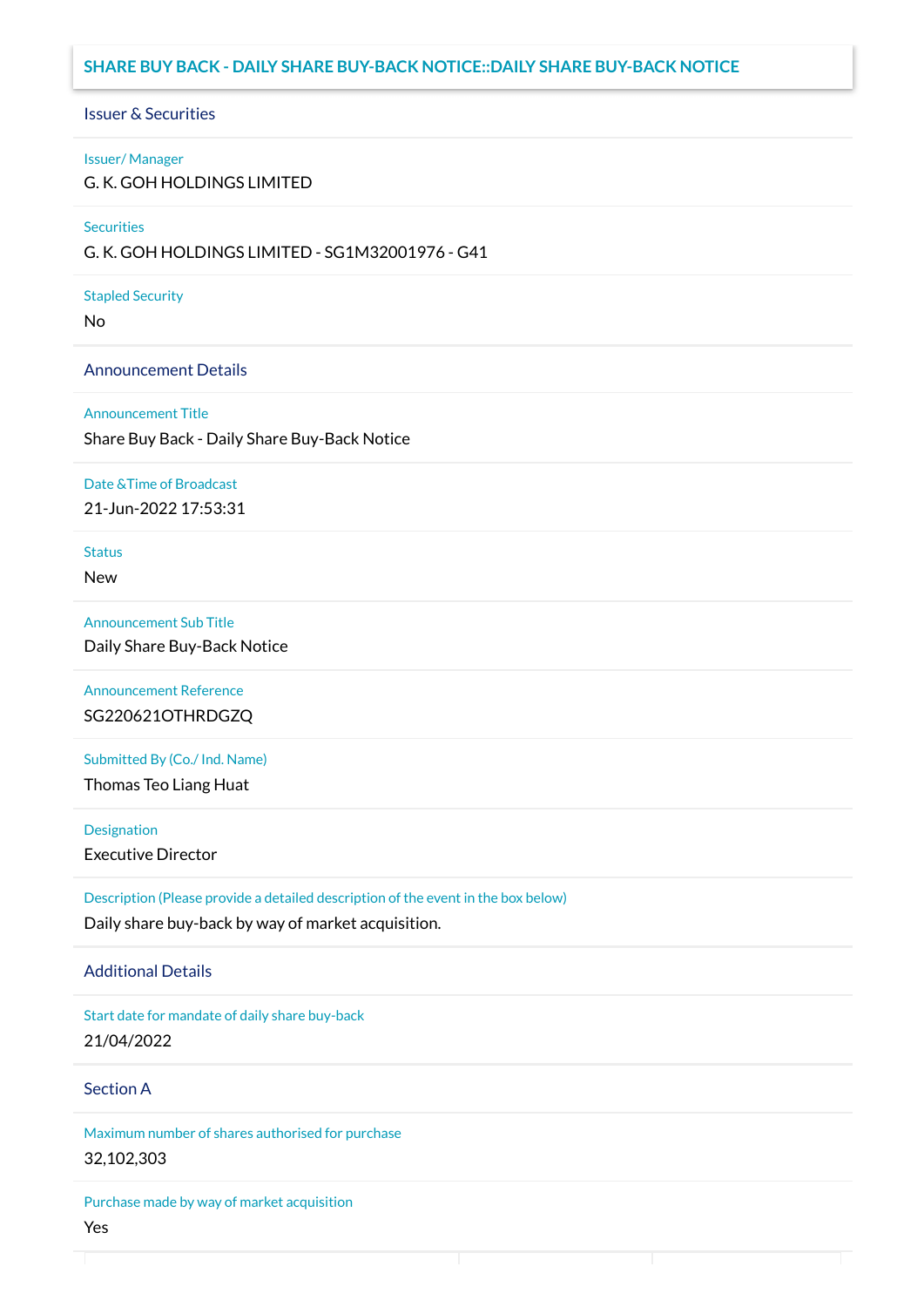## **SHARE BUY BACK - DAILY SHARE BUY-BACK NOTICE::DAILY SHARE BUY-BACK NOTICE**

### Issuer & Securities

### Issuer/ Manager

G. K. GOH HOLDINGS LIMITED

### **Securities**

G. K. GOH HOLDINGS LIMITED - SG1M32001976 - G41

### Stapled Security

No

### Announcement Details

#### Announcement Title

Share Buy Back - Daily Share Buy-Back Notice

### Date &Time of Broadcast

21-Jun-2022 17:53:31

# **Status**

New

### Announcement Sub Title

Daily Share Buy-Back Notice

# Announcement Reference SG220621OTHRDGZQ

Submitted By (Co./ Ind. Name)

Thomas Teo Liang Huat

**Designation** 

Executive Director

Description (Please provide a detailed description of the event in the box below) Daily share buy-back by way of market acquisition.

### Additional Details

Start date for mandate of daily share buy-back 21/04/2022

## Section A

Maximum number of shares authorised for purchase 32,102,303

Purchase made by way of market acquisition Yes